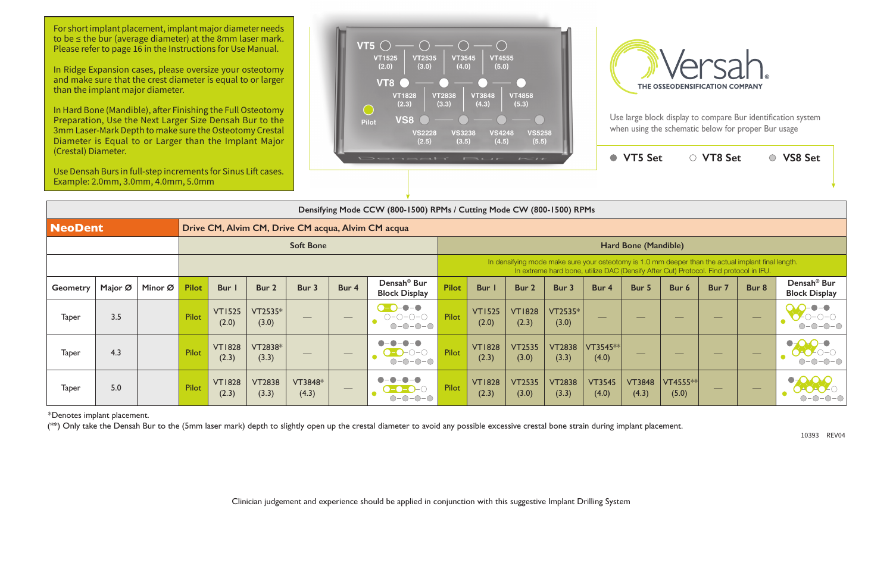Use large block display to compare Bur identification system when using the schematic below for proper Bur usage



|                                                                                                                                                             |                        | <b>VT5 Set</b>         |                     | <b>VT8 Set</b> |       | <b>VS8 Set</b>                                  |  |  |  |  |  |  |  |  |
|-------------------------------------------------------------------------------------------------------------------------------------------------------------|------------------------|------------------------|---------------------|----------------|-------|-------------------------------------------------|--|--|--|--|--|--|--|--|
| 500) RPMs                                                                                                                                                   |                        |                        |                     |                |       |                                                 |  |  |  |  |  |  |  |  |
|                                                                                                                                                             |                        |                        |                     |                |       |                                                 |  |  |  |  |  |  |  |  |
| Hard Bone (Mandible)                                                                                                                                        |                        |                        |                     |                |       |                                                 |  |  |  |  |  |  |  |  |
| ake sure your osteotomy is 1.0 mm deeper than the actual implant final length.<br>ard bone, utilize DAC (Densify After Cut) Protocol. Find protocol in IFU. |                        |                        |                     |                |       |                                                 |  |  |  |  |  |  |  |  |
| 3 <sub>ur</sub>                                                                                                                                             | Bur 4                  | Bur 5                  | Bur 6               | Bur 7          | Bur 8 | Densah <sup>®</sup> Bur<br><b>Block Display</b> |  |  |  |  |  |  |  |  |
| $T2535*$<br>(3.0)                                                                                                                                           |                        |                        |                     |                |       |                                                 |  |  |  |  |  |  |  |  |
| T2838<br>(3.3)                                                                                                                                              | VT3545 **<br>(4.0)     |                        |                     |                |       |                                                 |  |  |  |  |  |  |  |  |
| T2838<br>(3.3)                                                                                                                                              | <b>VT3545</b><br>(4.0) | <b>VT3848</b><br>(4.3) | $VT4555**$<br>(5.0) |                |       |                                                 |  |  |  |  |  |  |  |  |

|                                                                      | Densifying Mode CCW (800-1500) RPMs / Cutting Mode CW (800-1500) RPMs |         |              |                        |                        |                          |                                 |                                                 |                                                                                                                                                                                             |                        |                        |                        |                        |                                |                                |                                |       |                                                 |
|----------------------------------------------------------------------|-----------------------------------------------------------------------|---------|--------------|------------------------|------------------------|--------------------------|---------------------------------|-------------------------------------------------|---------------------------------------------------------------------------------------------------------------------------------------------------------------------------------------------|------------------------|------------------------|------------------------|------------------------|--------------------------------|--------------------------------|--------------------------------|-------|-------------------------------------------------|
| <b>NeoDent</b><br>Drive CM, Alvim CM, Drive CM acqua, Alvim CM acqua |                                                                       |         |              |                        |                        |                          |                                 |                                                 |                                                                                                                                                                                             |                        |                        |                        |                        |                                |                                |                                |       |                                                 |
|                                                                      | <b>Soft Bone</b>                                                      |         |              |                        |                        |                          |                                 | Hard Bone (Mandible)                            |                                                                                                                                                                                             |                        |                        |                        |                        |                                |                                |                                |       |                                                 |
|                                                                      |                                                                       |         |              |                        |                        |                          |                                 |                                                 | In densifying mode make sure your osteotomy is 1.0 mm deeper than the actual implant final length.<br>In extreme hard bone, utilize DAC (Densify After Cut) Protocol. Find protocol in IFU. |                        |                        |                        |                        |                                |                                |                                |       |                                                 |
| <b>Geometry</b>                                                      | Major $\varnothing$                                                   | Minor Ø | <b>Pilot</b> | Bur                    | Bur 2                  | Bur 3                    | Bur 4                           | Densah <sup>®</sup> Bur<br><b>Block Display</b> | <b>Pilot</b>                                                                                                                                                                                | Bur                    | Bur 2                  | Bur 3                  | Bur 4                  | Bur 5                          | Bur 6                          | Bur 7                          | Bur 8 | Densah <sup>®</sup> Bur<br><b>Block Display</b> |
| <b>Taper</b>                                                         | 3.5                                                                   |         | Pilot        | <b>VT1525</b><br>(2.0) | VT2535*<br>(3.0)       |                          | $\hspace{0.05cm}$               | $-$<br>$O-O-O-O$<br>$O-O-O-O$                   | Pilot                                                                                                                                                                                       | <b>VT1525</b><br>(2.0) | <b>VT1828</b><br>(2.3) | VT2535*<br>(3.0)       | $\frac{1}{2}$          | $\overbrace{\hspace{25mm}}^{}$ |                                | $\overline{\phantom{a}}$       |       |                                                 |
| <b>Taper</b>                                                         | 4.3                                                                   |         | Pilot        | <b>VT1828</b><br>(2.3) | VT2838*<br>(3.3)       | $\qquad \qquad - \qquad$ | $\hspace{0.05cm}$               | $O-O-O-O$                                       | Pilot                                                                                                                                                                                       | <b>VT1828</b><br>(2.3) | <b>VT2535</b><br>(3.0) | <b>VT2838</b><br>(3.3) | VT3545**<br>(4.0)      | $\overbrace{\hspace{25mm}}^{}$ | $\overbrace{\hspace{25mm}}^{}$ | $\overbrace{\hspace{25mm}}^{}$ |       |                                                 |
| <b>Taper</b>                                                         | 5.0                                                                   |         | Pilot        | <b>VT1828</b><br>(2.3) | <b>VT2838</b><br>(3.3) | VT3848*<br>(4.3)         | $\hspace{0.1mm}-\hspace{0.1mm}$ | $O-O-O-O$                                       | Pilot                                                                                                                                                                                       | <b>VT1828</b><br>(2.3) | <b>VT2535</b><br>(3.0) | <b>VT2838</b><br>(3.3) | <b>VT3545</b><br>(4.0) | <b>VT3848</b><br>(4.3)         | $VT4555**$<br>(5.0)            | $\overbrace{\hspace{25mm}}^{}$ |       | $\bullet$                                       |

For short implant placement, implant major diameter needs to be ≤ the bur (average diameter) at the 8mm laser mark. Please refer to page 16 in the Instructions for Use Manual.

\*Denotes implant placement.

(\*\*) Only take the Densah Bur to the (5mm laser mark) depth to slightly open up the crestal diameter to avoid any possible excessive crestal bone strain during implant placement.

Clinician judgement and experience should be applied in conjunction with this suggestive Implant Drilling System



10393 REV04

In Ridge Expansion cases, please oversize your osteotomy and make sure that the crest diameter is equal to or larger than the implant major diameter.

In Hard Bone (Mandible), after Finishing the Full Osteotomy Preparation, Use the Next Larger Size Densah Bur to the 3mm Laser-Mark Depth to make sure the Osteotomy Crestal Diameter is Equal to or Larger than the Implant Major (Crestal) Diameter.

Use Densah Burs in full-step increments for Sinus Lift cases. Example: 2.0mm, 3.0mm, 4.0mm, 5.0mm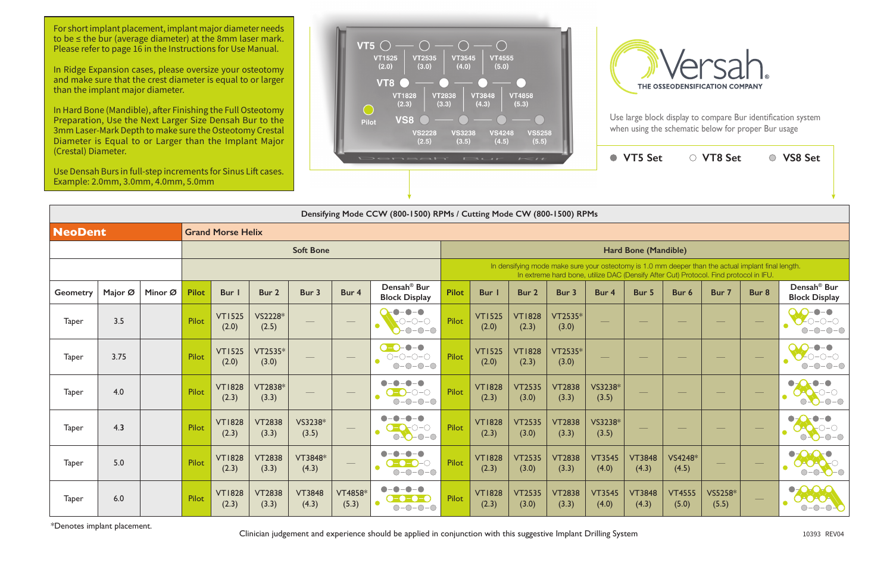Use large block display to compare Bur identification system when using the schematic below for proper Bur usage



|                                                                                                                                                             |                        | <b>VT5 Set</b>         |                        | ○ VT8 Set        |       | <b>VS8 Set</b>                                  |  |  |  |  |  |  |  |  |
|-------------------------------------------------------------------------------------------------------------------------------------------------------------|------------------------|------------------------|------------------------|------------------|-------|-------------------------------------------------|--|--|--|--|--|--|--|--|
|                                                                                                                                                             |                        |                        |                        |                  |       |                                                 |  |  |  |  |  |  |  |  |
| 500) RPMs                                                                                                                                                   |                        |                        |                        |                  |       |                                                 |  |  |  |  |  |  |  |  |
|                                                                                                                                                             |                        |                        |                        |                  |       |                                                 |  |  |  |  |  |  |  |  |
| Hard Bone (Mandible)                                                                                                                                        |                        |                        |                        |                  |       |                                                 |  |  |  |  |  |  |  |  |
| ake sure your osteotomy is 1.0 mm deeper than the actual implant final length.<br>ard bone, utilize DAC (Densify After Cut) Protocol. Find protocol in IFU. |                        |                        |                        |                  |       |                                                 |  |  |  |  |  |  |  |  |
| 3ur 3                                                                                                                                                       | Bur 4                  | Bur 5                  | Bur 6                  | Bur 7            | Bur 8 | Densah <sup>®</sup> Bur<br><b>Block Display</b> |  |  |  |  |  |  |  |  |
| $T2535*$<br>(3.0)                                                                                                                                           |                        |                        |                        |                  |       |                                                 |  |  |  |  |  |  |  |  |
| $T2535*$<br>(3.0)                                                                                                                                           |                        |                        |                        |                  |       |                                                 |  |  |  |  |  |  |  |  |
| T2838<br>(3.3)                                                                                                                                              | VS3238*<br>(3.5)       |                        |                        |                  |       |                                                 |  |  |  |  |  |  |  |  |
| T2838<br>(3.3)                                                                                                                                              | VS3238*<br>(3.5)       |                        |                        |                  |       |                                                 |  |  |  |  |  |  |  |  |
| T2838<br>(3.3)                                                                                                                                              | <b>VT3545</b><br>(4.0) | <b>VT3848</b><br>(4.3) | VS4248*<br>(4.5)       |                  |       |                                                 |  |  |  |  |  |  |  |  |
| T2838<br>(3.3)                                                                                                                                              | <b>VT3545</b><br>(4.0) | <b>VT3848</b><br>(4.3) | <b>VT4555</b><br>(5.0) | VS5258*<br>(5.5) |       |                                                 |  |  |  |  |  |  |  |  |

|                | Densifying Mode CCW (800-1500) RPMs / Cutting Mode CW (800-1500) RPMs |         |              |                          |                        |                        |                          |                                                                                                |                      |                                                                                                                                                                                             |                        |                        |                        |                          |                        |                  |                          |                                                                       |  |
|----------------|-----------------------------------------------------------------------|---------|--------------|--------------------------|------------------------|------------------------|--------------------------|------------------------------------------------------------------------------------------------|----------------------|---------------------------------------------------------------------------------------------------------------------------------------------------------------------------------------------|------------------------|------------------------|------------------------|--------------------------|------------------------|------------------|--------------------------|-----------------------------------------------------------------------|--|
| <b>NeoDent</b> |                                                                       |         |              | <b>Grand Morse Helix</b> |                        |                        |                          |                                                                                                |                      |                                                                                                                                                                                             |                        |                        |                        |                          |                        |                  |                          |                                                                       |  |
|                |                                                                       |         |              |                          |                        | <b>Soft Bone</b>       |                          |                                                                                                | Hard Bone (Mandible) |                                                                                                                                                                                             |                        |                        |                        |                          |                        |                  |                          |                                                                       |  |
|                |                                                                       |         |              |                          |                        |                        |                          |                                                                                                |                      | In densifying mode make sure your osteotomy is 1.0 mm deeper than the actual implant final length.<br>In extreme hard bone, utilize DAC (Densify After Cut) Protocol. Find protocol in IFU. |                        |                        |                        |                          |                        |                  |                          |                                                                       |  |
| Geometry       | Major Ø                                                               | Minor Ø | <b>Pilot</b> | Bur                      | Bur 2                  | Bur 3                  | Bur 4                    | Densah <sup>®</sup> Bur<br><b>Block Display</b>                                                | <b>Pilot</b>         | <b>Bur</b>                                                                                                                                                                                  | Bur 2                  | Bur 3                  | Bur 4                  | Bur 5                    | Bur 6                  | Bur 7            | Bur 8                    | Densah <sup>®</sup> Bur<br><b>Block Display</b>                       |  |
| <b>Taper</b>   | 3.5                                                                   |         | Pilot        | <b>VT1525</b><br>(2.0)   | VS2228*<br>(2.5)       |                        | $\hspace{0.05cm}$        | $\bullet - \bullet - \bullet$<br>$-$ O-O-O<br>●<br>$-0-0-0$                                    | Pilot                | <b>VT1525</b><br>(2.0)                                                                                                                                                                      | <b>VT1828</b><br>(2.3) | VT2535*<br>(3.0)       |                        |                          |                        |                  | $\overline{\phantom{0}}$ |                                                                       |  |
| <b>Taper</b>   | 3.75                                                                  |         | Pilot        | <b>VT1525</b><br>(2.0)   | VT2535*<br>(3.0)       |                        | $\frac{1}{2}$            | -0-<br>$\bullet$<br>$\bullet$ -O:<br>$O-O-O-O$<br>$O-O-O-O$                                    | Pilot                | <b>VT1525</b><br>(2.0)                                                                                                                                                                      | <b>VT1828</b><br>(2.3) | VT2535*<br>(3.0)       |                        |                          |                        |                  |                          |                                                                       |  |
| <b>Taper</b>   | 4.0                                                                   |         | Pilot        | <b>VT1828</b><br>(2.3)   | VT2838*<br>(3.3)       |                        | $\overline{\phantom{m}}$ | $\bullet$<br>$\begin{array}{c} \bullet \\ \bullet \end{array}$<br>-0<br>$-$ O-O-O<br>$O-O-O-O$ | Pilot                | <b>VT1828</b><br>(2.3)                                                                                                                                                                      | <b>VT2535</b><br>(3.0) | <b>VT2838</b><br>(3.3) | VS3238*<br>(3.5)       | $\overline{\phantom{0}}$ |                        |                  |                          | $\bullet-\bullet$<br>$\bullet$                                        |  |
| <b>Taper</b>   | 4.3                                                                   |         | Pilot        | <b>VT1828</b><br>(2.3)   | <b>VT2838</b><br>(3.3) | VS3238*<br>(3.5)       |                          | $\bullet$ –<br>$-\bullet$<br>$-0 - 0 - 0$<br>$O-O-O-O$                                         | Pilot                | <b>VT1828</b><br>(2.3)                                                                                                                                                                      | <b>VT2535</b><br>(3.0) | <b>VT2838</b><br>(3.3) | VS3238*<br>(3.5)       |                          |                        |                  |                          |                                                                       |  |
| <b>Taper</b>   | 5.0                                                                   |         | Pilot        | <b>VT1828</b><br>(2.3)   | <b>VT2838</b><br>(3.3) | VT3848*<br>(4.3)       | $\frac{1}{2}$            | $\bullet$<br>-0<br>$\bullet$<br>$\bullet$<br>$-$ 0-0- $C$<br>$O-O-O-O$                         | Pilot                | <b>VT1828</b><br>(2.3)                                                                                                                                                                      | <b>VT2535</b><br>(3.0) | <b>VT2838</b><br>(3.3) | <b>VT3545</b><br>(4.0) | <b>VT3848</b><br>(4.3)   | VS4248*<br>(4.5)       |                  |                          | $\bullet$<br>AOAOT<br>$\bigcap$<br>$ \bigcirc$ $\bigcirc$ $ \bigcirc$ |  |
| <b>Taper</b>   | 6.0                                                                   |         | Pilot        | <b>VT1828</b><br>(2.3)   | <b>VT2838</b><br>(3.3) | <b>VT3848</b><br>(4.3) | VT4858*<br>(5.3)         | $-\bullet$ -<br>$-\bullet-\bullet$<br>$\bullet$<br>$O-O-O-O$                                   | Pilot                | <b>VT1828</b><br>(2.3)                                                                                                                                                                      | <b>VT2535</b><br>(3.0) | <b>VT2838</b><br>(3.3) | <b>VT3545</b><br>(4.0) | <b>VT3848</b><br>(4.3)   | <b>VT4555</b><br>(5.0) | VS5258*<br>(5.5) |                          | $\bigcirc$<br>$\bullet$<br>DAOAOA<br>$-O$ -O-                         |  |

\*Denotes implant placement. Clinician judgement and experience should be applied in conjunction with this suggestive Implant Drilling System <sup>10393</sup> REV0<sup>4</sup>



For short implant placement, implant major diameter needs to be ≤ the bur (average diameter) at the 8mm laser mark. Please refer to page 16 in the Instructions for Use Manual.

In Ridge Expansion cases, please oversize your osteotomy and make sure that the crest diameter is equal to or larger than the implant major diameter.

In Hard Bone (Mandible), after Finishing the Full Osteotomy Preparation, Use the Next Larger Size Densah Bur to the 3mm Laser-Mark Depth to make sure the Osteotomy Crestal Diameter is Equal to or Larger than the Implant Major (Crestal) Diameter.

Use Densah Burs in full-step increments for Sinus Lift cases. Example: 2.0mm, 3.0mm, 4.0mm, 5.0mm